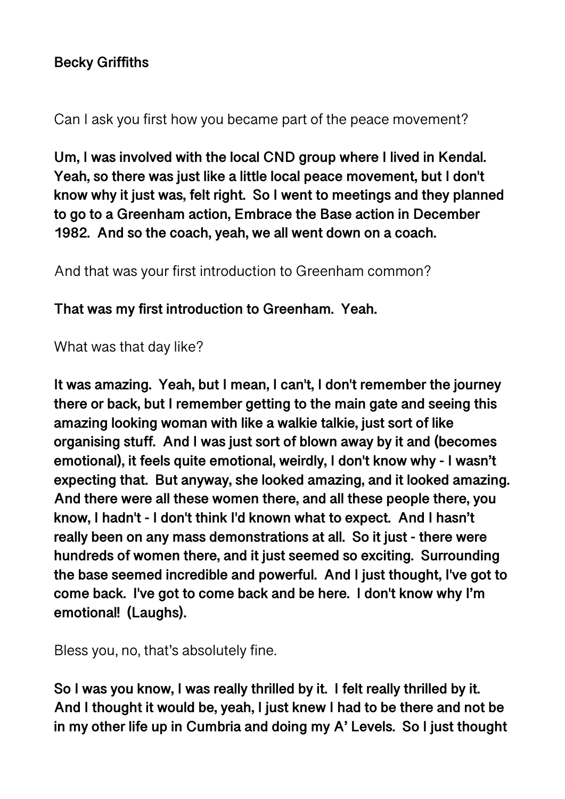## **Becky Griffiths**

Can I ask you first how you became part of the peace movement?

**Um, I was involved with the local CND group where I lived in Kendal. Yeah, so there was just like a little local peace movement, but I don't know why it just was, felt right. So I went to meetings and they planned to go to a Greenham action, Embrace the Base action in December 1982. And so the coach, yeah, we all went down on a coach.** 

And that was your first introduction to Greenham common?

**That was my first introduction to Greenham. Yeah.** 

What was that day like?

**It was amazing. Yeah, but I mean, I can't, I don't remember the journey there or back, but I remember getting to the main gate and seeing this amazing looking woman with like a walkie talkie, just sort of like organising stuff. And I was just sort of blown away by it and (becomes emotional), it feels quite emotional, weirdly, I don't know why - I wasn't expecting that. But anyway, she looked amazing, and it looked amazing. And there were all these women there, and all these people there, you know, I hadn't - I don't think I'd known what to expect. And I hasn't really been on any mass demonstrations at all. So it just - there were hundreds of women there, and it just seemed so exciting. Surrounding the base seemed incredible and powerful. And I just thought, I've got to come back. I've got to come back and be here. I don't know why I'm emotional! (Laughs).** 

Bless you, no, that's absolutely fine.

**So I was you know, I was really thrilled by it. I felt really thrilled by it. And I thought it would be, yeah, I just knew I had to be there and not be in my other life up in Cumbria and doing my A' Levels. So I just thought**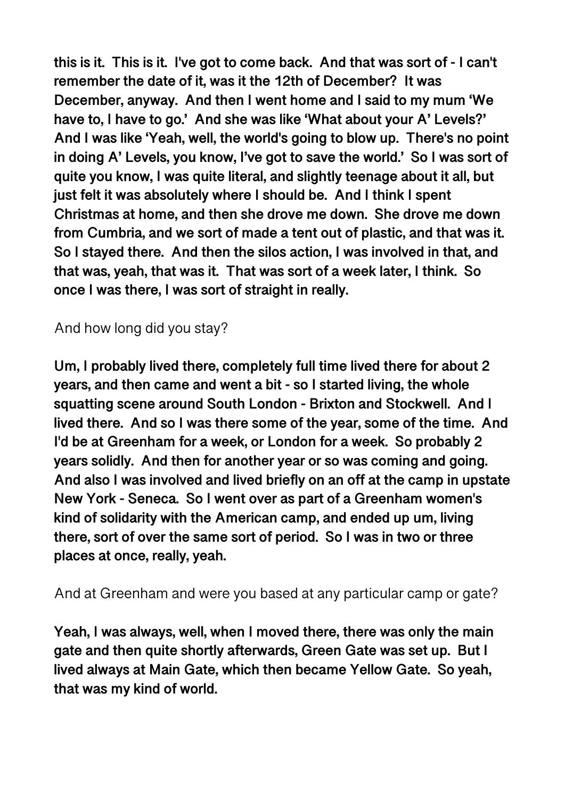**this is it. This is it. I've got to come back. And that was sort of - I can't remember the date of it, was it the 12th of December? It was December, anyway. And then I went home and I said to my mum 'We have to, I have to go.' And she was like 'What about your A' Levels?' And I was like 'Yeah, well, the world's going to blow up. There's no point in doing A' Levels, you know, I've got to save the world.' So I was sort of quite you know, I was quite literal, and slightly teenage about it all, but just felt it was absolutely where I should be. And I think I spent Christmas at home, and then she drove me down. She drove me down from Cumbria, and we sort of made a tent out of plastic, and that was it. So I stayed there. And then the silos action, I was involved in that, and that was, yeah, that was it. That was sort of a week later, I think. So once I was there, I was sort of straight in really.** 

# And how long did you stay?

**Um, I probably lived there, completely full time lived there for about 2 years, and then came and went a bit - so I started living, the whole squatting scene around South London - Brixton and Stockwell. And I lived there. And so I was there some of the year, some of the time. And I'd be at Greenham for a week, or London for a week. So probably 2 years solidly. And then for another year or so was coming and going. And also I was involved and lived briefly on an off at the camp in upstate New York - Seneca. So I went over as part of a Greenham women's kind of solidarity with the American camp, and ended up um, living there, sort of over the same sort of period. So I was in two or three places at once, really, yeah.** 

And at Greenham and were you based at any particular camp or gate?

**Yeah, I was always, well, when I moved there, there was only the main gate and then quite shortly afterwards, Green Gate was set up. But I lived always at Main Gate, which then became Yellow Gate. So yeah, that was my kind of world.**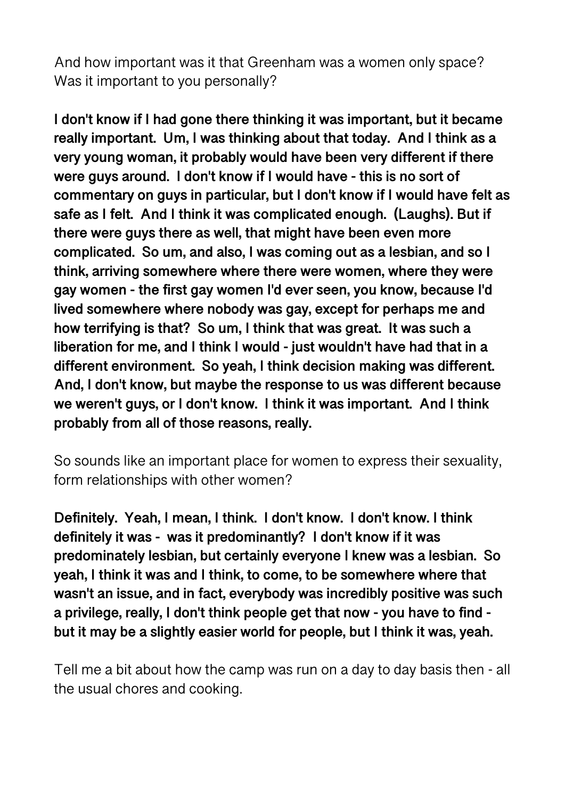And how important was it that Greenham was a women only space? Was it important to you personally?

**I don't know if I had gone there thinking it was important, but it became really important. Um, I was thinking about that today. And I think as a very young woman, it probably would have been very different if there were guys around. I don't know if I would have - this is no sort of commentary on guys in particular, but I don't know if I would have felt as safe as I felt. And I think it was complicated enough. (Laughs). But if there were guys there as well, that might have been even more complicated. So um, and also, I was coming out as a lesbian, and so I think, arriving somewhere where there were women, where they were gay women - the first gay women I'd ever seen, you know, because I'd lived somewhere where nobody was gay, except for perhaps me and how terrifying is that? So um, I think that was great. It was such a liberation for me, and I think I would - just wouldn't have had that in a different environment. So yeah, I think decision making was different. And, I don't know, but maybe the response to us was different because we weren't guys, or I don't know. I think it was important. And I think probably from all of those reasons, really.** 

So sounds like an important place for women to express their sexuality, form relationships with other women?

**Definitely. Yeah, I mean, I think. I don't know. I don't know. I think definitely it was - was it predominantly? I don't know if it was predominately lesbian, but certainly everyone I knew was a lesbian. So yeah, I think it was and I think, to come, to be somewhere where that wasn't an issue, and in fact, everybody was incredibly positive was such a privilege, really, I don't think people get that now - you have to find but it may be a slightly easier world for people, but I think it was, yeah.** 

Tell me a bit about how the camp was run on a day to day basis then - all the usual chores and cooking.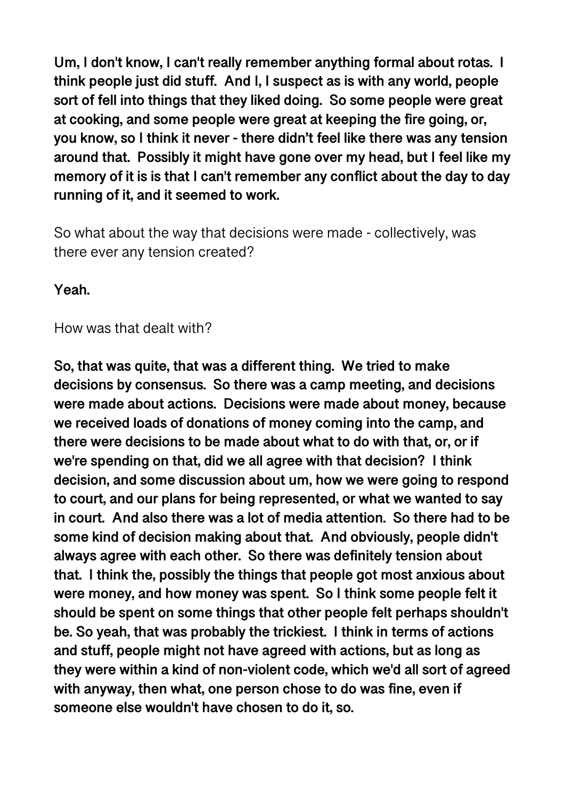**Um, I don't know, I can't really remember anything formal about rotas. I think people just did stuff. And I, I suspect as is with any world, people sort of fell into things that they liked doing. So some people were great at cooking, and some people were great at keeping the fire going, or, you know, so I think it never - there didn't feel like there was any tension around that. Possibly it might have gone over my head, but I feel like my memory of it is is that I can't remember any conflict about the day to day running of it, and it seemed to work.** 

So what about the way that decisions were made - collectively, was there ever any tension created?

**Yeah.** 

How was that dealt with?

**So, that was quite, that was a different thing. We tried to make decisions by consensus. So there was a camp meeting, and decisions were made about actions. Decisions were made about money, because we received loads of donations of money coming into the camp, and there were decisions to be made about what to do with that, or, or if we're spending on that, did we all agree with that decision? I think decision, and some discussion about um, how we were going to respond to court, and our plans for being represented, or what we wanted to say in court. And also there was a lot of media attention. So there had to be some kind of decision making about that. And obviously, people didn't always agree with each other. So there was definitely tension about that. I think the, possibly the things that people got most anxious about were money, and how money was spent. So I think some people felt it should be spent on some things that other people felt perhaps shouldn't be. So yeah, that was probably the trickiest. I think in terms of actions and stuff, people might not have agreed with actions, but as long as they were within a kind of non-violent code, which we'd all sort of agreed with anyway, then what, one person chose to do was fine, even if someone else wouldn't have chosen to do it, so.**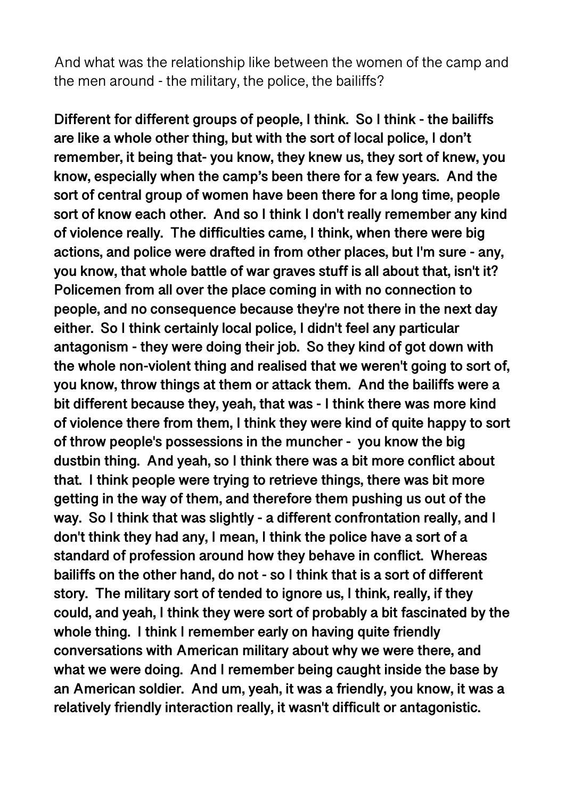And what was the relationship like between the women of the camp and the men around - the military, the police, the bailiffs?

**Different for different groups of people, I think. So I think - the bailiffs are like a whole other thing, but with the sort of local police, I don't remember, it being that- you know, they knew us, they sort of knew, you know, especially when the camp's been there for a few years. And the sort of central group of women have been there for a long time, people sort of know each other. And so I think I don't really remember any kind of violence really. The difficulties came, I think, when there were big actions, and police were drafted in from other places, but I'm sure - any, you know, that whole battle of war graves stuff is all about that, isn't it? Policemen from all over the place coming in with no connection to people, and no consequence because they're not there in the next day either. So I think certainly local police, I didn't feel any particular antagonism - they were doing their job. So they kind of got down with the whole non-violent thing and realised that we weren't going to sort of, you know, throw things at them or attack them. And the bailiffs were a bit different because they, yeah, that was - I think there was more kind of violence there from them, I think they were kind of quite happy to sort of throw people's possessions in the muncher - you know the big dustbin thing. And yeah, so I think there was a bit more conflict about that. I think people were trying to retrieve things, there was bit more getting in the way of them, and therefore them pushing us out of the way. So I think that was slightly - a different confrontation really, and I don't think they had any, I mean, I think the police have a sort of a standard of profession around how they behave in conflict. Whereas bailiffs on the other hand, do not - so I think that is a sort of different story. The military sort of tended to ignore us, I think, really, if they could, and yeah, I think they were sort of probably a bit fascinated by the whole thing. I think I remember early on having quite friendly conversations with American military about why we were there, and what we were doing. And I remember being caught inside the base by an American soldier. And um, yeah, it was a friendly, you know, it was a relatively friendly interaction really, it wasn't difficult or antagonistic.**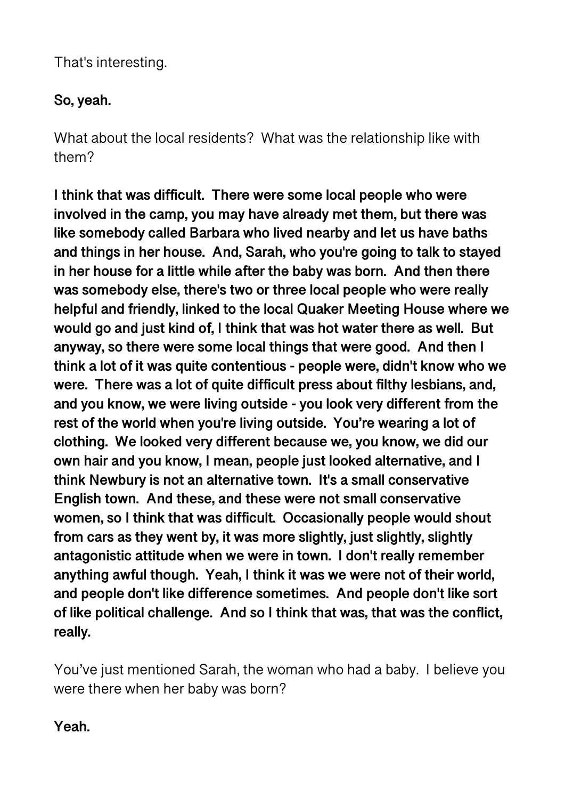That's interesting.

## **So, yeah.**

What about the local residents? What was the relationship like with them?

**I think that was difficult. There were some local people who were involved in the camp, you may have already met them, but there was like somebody called Barbara who lived nearby and let us have baths and things in her house. And, Sarah, who you're going to talk to stayed in her house for a little while after the baby was born. And then there was somebody else, there's two or three local people who were really helpful and friendly, linked to the local Quaker Meeting House where we would go and just kind of, I think that was hot water there as well. But anyway, so there were some local things that were good. And then I think a lot of it was quite contentious - people were, didn't know who we were. There was a lot of quite difficult press about filthy lesbians, and, and you know, we were living outside - you look very different from the rest of the world when you're living outside. You're wearing a lot of clothing. We looked very different because we, you know, we did our own hair and you know, I mean, people just looked alternative, and I think Newbury is not an alternative town. It's a small conservative English town. And these, and these were not small conservative women, so I think that was difficult. Occasionally people would shout from cars as they went by, it was more slightly, just slightly, slightly antagonistic attitude when we were in town. I don't really remember anything awful though. Yeah, I think it was we were not of their world, and people don't like difference sometimes. And people don't like sort of like political challenge. And so I think that was, that was the conflict, really.** 

You've just mentioned Sarah, the woman who had a baby. I believe you were there when her baby was born?

**Yeah.**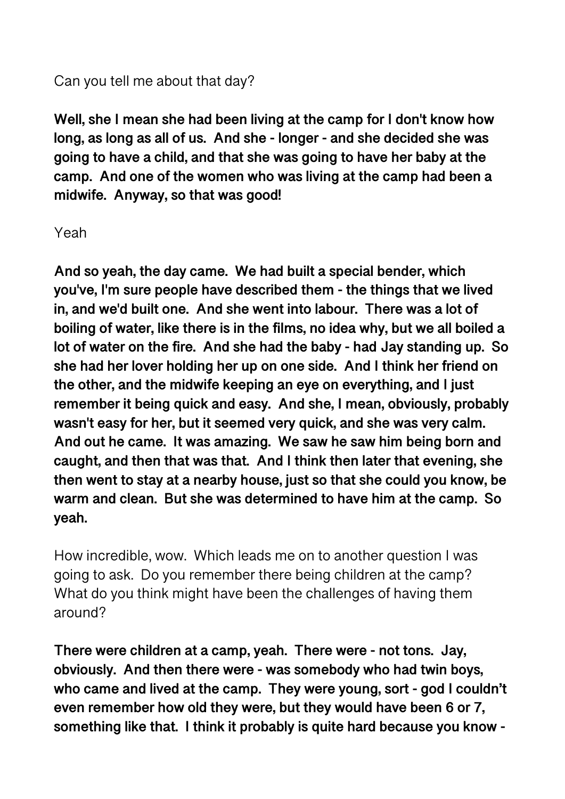#### Can you tell me about that day?

**Well, she I mean she had been living at the camp for I don't know how long, as long as all of us. And she - longer - and she decided she was going to have a child, and that she was going to have her baby at the camp. And one of the women who was living at the camp had been a midwife. Anyway, so that was good!** 

#### Yeah

**And so yeah, the day came. We had built a special bender, which you've, I'm sure people have described them - the things that we lived in, and we'd built one. And she went into labour. There was a lot of boiling of water, like there is in the films, no idea why, but we all boiled a lot of water on the fire. And she had the baby - had Jay standing up. So she had her lover holding her up on one side. And I think her friend on the other, and the midwife keeping an eye on everything, and I just remember it being quick and easy. And she, I mean, obviously, probably wasn't easy for her, but it seemed very quick, and she was very calm. And out he came. It was amazing. We saw he saw him being born and caught, and then that was that. And I think then later that evening, she then went to stay at a nearby house, just so that she could you know, be warm and clean. But she was determined to have him at the camp. So yeah.** 

How incredible, wow. Which leads me on to another question I was going to ask. Do you remember there being children at the camp? What do you think might have been the challenges of having them around?

**There were children at a camp, yeah. There were - not tons. Jay, obviously. And then there were - was somebody who had twin boys, who came and lived at the camp. They were young, sort - god I couldn't even remember how old they were, but they would have been 6 or 7, something like that. I think it probably is quite hard because you know -**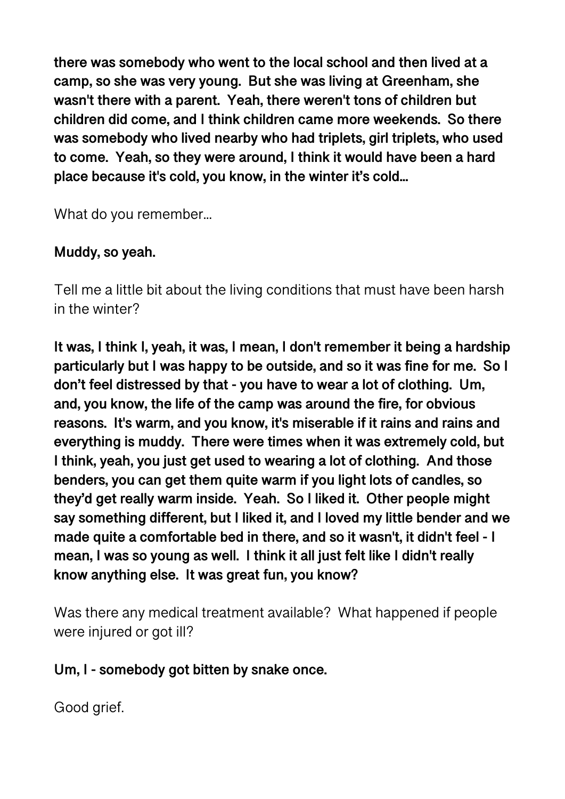**there was somebody who went to the local school and then lived at a camp, so she was very young. But she was living at Greenham, she wasn't there with a parent. Yeah, there weren't tons of children but children did come, and I think children came more weekends. So there was somebody who lived nearby who had triplets, girl triplets, who used to come. Yeah, so they were around, I think it would have been a hard place because it's cold, you know, in the winter it's cold...** 

What do you remember...

## **Muddy, so yeah.**

Tell me a little bit about the living conditions that must have been harsh in the winter?

**It was, I think I, yeah, it was, I mean, I don't remember it being a hardship particularly but I was happy to be outside, and so it was fine for me. So I don't feel distressed by that - you have to wear a lot of clothing. Um, and, you know, the life of the camp was around the fire, for obvious reasons. It's warm, and you know, it's miserable if it rains and rains and everything is muddy. There were times when it was extremely cold, but I think, yeah, you just get used to wearing a lot of clothing. And those benders, you can get them quite warm if you light lots of candles, so they'd get really warm inside. Yeah. So I liked it. Other people might say something different, but I liked it, and I loved my little bender and we made quite a comfortable bed in there, and so it wasn't, it didn't feel - I mean, I was so young as well. I think it all just felt like I didn't really know anything else. It was great fun, you know?** 

Was there any medical treatment available? What happened if people were injured or got ill?

## **Um, I - somebody got bitten by snake once.**

Good grief.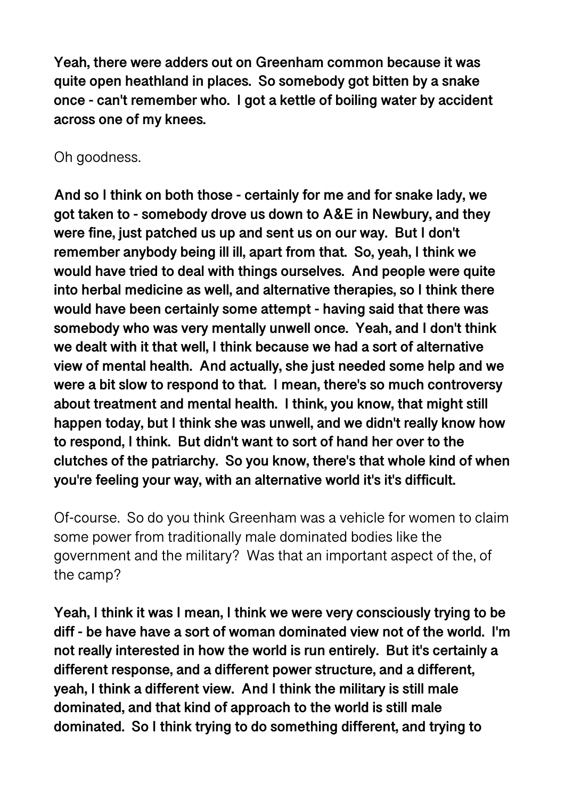**Yeah, there were adders out on Greenham common because it was quite open heathland in places. So somebody got bitten by a snake once - can't remember who. I got a kettle of boiling water by accident across one of my knees.** 

Oh goodness.

**And so I think on both those - certainly for me and for snake lady, we got taken to - somebody drove us down to A&E in Newbury, and they were fine, just patched us up and sent us on our way. But I don't remember anybody being ill ill, apart from that. So, yeah, I think we would have tried to deal with things ourselves. And people were quite into herbal medicine as well, and alternative therapies, so I think there would have been certainly some attempt - having said that there was somebody who was very mentally unwell once. Yeah, and I don't think we dealt with it that well, I think because we had a sort of alternative view of mental health. And actually, she just needed some help and we were a bit slow to respond to that. I mean, there's so much controversy about treatment and mental health. I think, you know, that might still happen today, but I think she was unwell, and we didn't really know how to respond, I think. But didn't want to sort of hand her over to the clutches of the patriarchy. So you know, there's that whole kind of when you're feeling your way, with an alternative world it's it's difficult.** 

Of-course. So do you think Greenham was a vehicle for women to claim some power from traditionally male dominated bodies like the government and the military? Was that an important aspect of the, of the camp?

**Yeah, I think it was I mean, I think we were very consciously trying to be diff - be have have a sort of woman dominated view not of the world. I'm not really interested in how the world is run entirely. But it's certainly a different response, and a different power structure, and a different, yeah, I think a different view. And I think the military is still male dominated, and that kind of approach to the world is still male dominated. So I think trying to do something different, and trying to**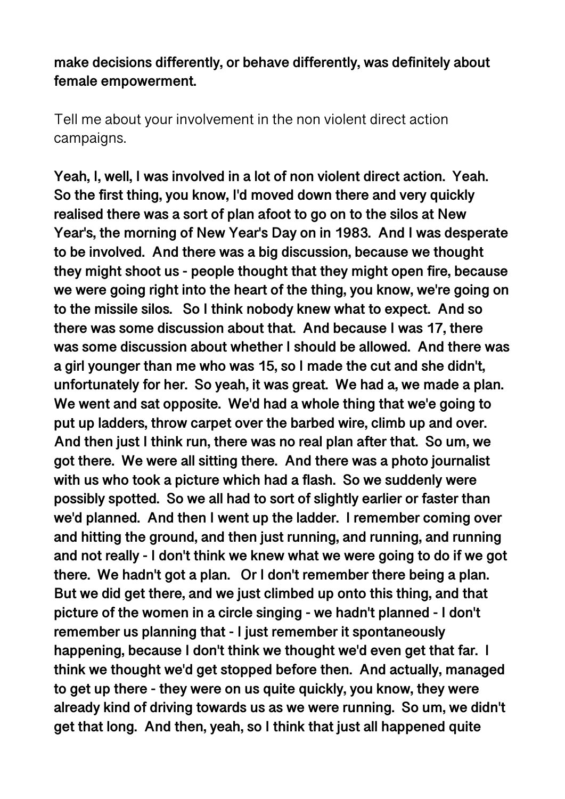### **make decisions differently, or behave differently, was definitely about female empowerment.**

Tell me about your involvement in the non violent direct action campaigns.

**Yeah, I, well, I was involved in a lot of non violent direct action. Yeah. So the first thing, you know, I'd moved down there and very quickly realised there was a sort of plan afoot to go on to the silos at New Year's, the morning of New Year's Day on in 1983. And I was desperate to be involved. And there was a big discussion, because we thought they might shoot us - people thought that they might open fire, because we were going right into the heart of the thing, you know, we're going on to the missile silos. So I think nobody knew what to expect. And so there was some discussion about that. And because I was 17, there was some discussion about whether I should be allowed. And there was a girl younger than me who was 15, so I made the cut and she didn't, unfortunately for her. So yeah, it was great. We had a, we made a plan. We went and sat opposite. We'd had a whole thing that we'e going to put up ladders, throw carpet over the barbed wire, climb up and over. And then just I think run, there was no real plan after that. So um, we got there. We were all sitting there. And there was a photo journalist with us who took a picture which had a flash. So we suddenly were possibly spotted. So we all had to sort of slightly earlier or faster than we'd planned. And then I went up the ladder. I remember coming over and hitting the ground, and then just running, and running, and running and not really - I don't think we knew what we were going to do if we got there. We hadn't got a plan. Or I don't remember there being a plan. But we did get there, and we just climbed up onto this thing, and that picture of the women in a circle singing - we hadn't planned - I don't remember us planning that - I just remember it spontaneously happening, because I don't think we thought we'd even get that far. I think we thought we'd get stopped before then. And actually, managed to get up there - they were on us quite quickly, you know, they were already kind of driving towards us as we were running. So um, we didn't get that long. And then, yeah, so I think that just all happened quite**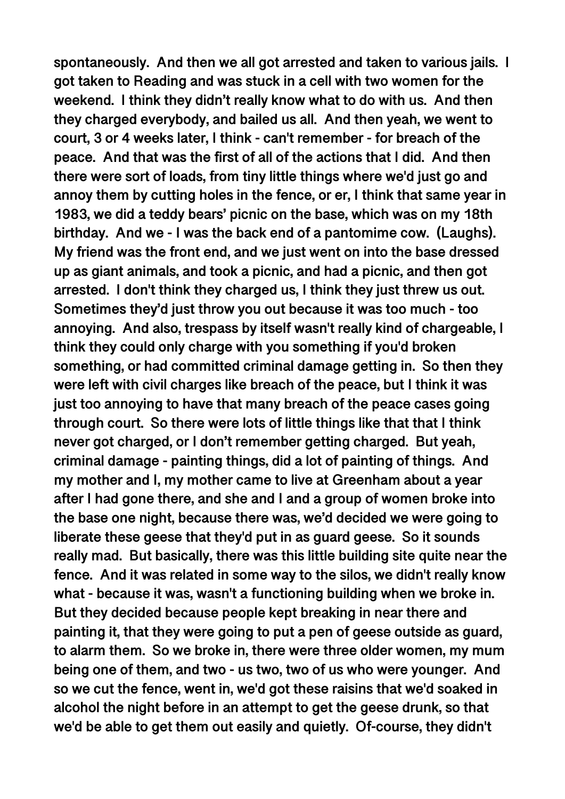**spontaneously. And then we all got arrested and taken to various jails. I got taken to Reading and was stuck in a cell with two women for the weekend. I think they didn't really know what to do with us. And then they charged everybody, and bailed us all. And then yeah, we went to court, 3 or 4 weeks later, I think - can't remember - for breach of the peace. And that was the first of all of the actions that I did. And then there were sort of loads, from tiny little things where we'd just go and annoy them by cutting holes in the fence, or er, I think that same year in 1983, we did a teddy bears' picnic on the base, which was on my 18th birthday. And we - I was the back end of a pantomime cow. (Laughs). My friend was the front end, and we just went on into the base dressed up as giant animals, and took a picnic, and had a picnic, and then got arrested. I don't think they charged us, I think they just threw us out. Sometimes they'd just throw you out because it was too much - too annoying. And also, trespass by itself wasn't really kind of chargeable, I think they could only charge with you something if you'd broken something, or had committed criminal damage getting in. So then they were left with civil charges like breach of the peace, but I think it was just too annoying to have that many breach of the peace cases going through court. So there were lots of little things like that that I think never got charged, or I don't remember getting charged. But yeah, criminal damage - painting things, did a lot of painting of things. And my mother and I, my mother came to live at Greenham about a year after I had gone there, and she and I and a group of women broke into the base one night, because there was, we'd decided we were going to liberate these geese that they'd put in as guard geese. So it sounds really mad. But basically, there was this little building site quite near the fence. And it was related in some way to the silos, we didn't really know what - because it was, wasn't a functioning building when we broke in. But they decided because people kept breaking in near there and painting it, that they were going to put a pen of geese outside as guard, to alarm them. So we broke in, there were three older women, my mum being one of them, and two - us two, two of us who were younger. And so we cut the fence, went in, we'd got these raisins that we'd soaked in alcohol the night before in an attempt to get the geese drunk, so that we'd be able to get them out easily and quietly. Of-course, they didn't**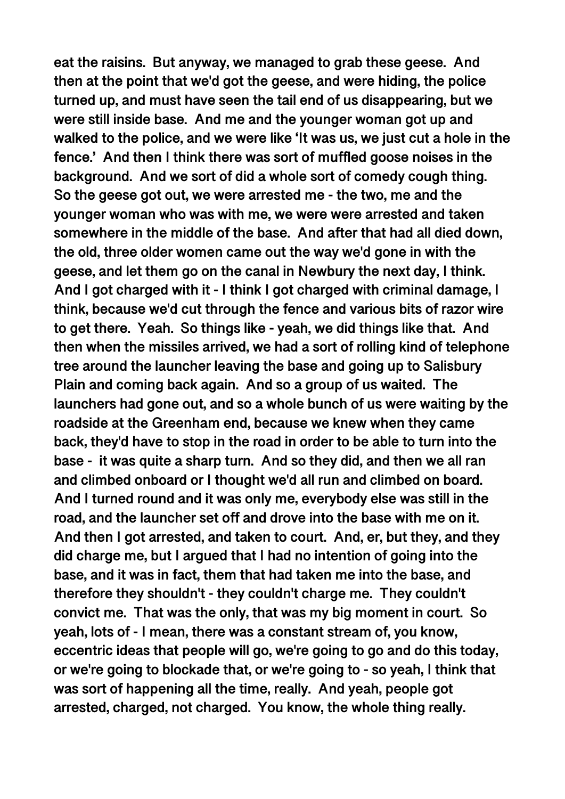**eat the raisins. But anyway, we managed to grab these geese. And then at the point that we'd got the geese, and were hiding, the police turned up, and must have seen the tail end of us disappearing, but we were still inside base. And me and the younger woman got up and walked to the police, and we were like 'It was us, we just cut a hole in the fence.' And then I think there was sort of muffled goose noises in the background. And we sort of did a whole sort of comedy cough thing. So the geese got out, we were arrested me - the two, me and the younger woman who was with me, we were were arrested and taken somewhere in the middle of the base. And after that had all died down, the old, three older women came out the way we'd gone in with the geese, and let them go on the canal in Newbury the next day, I think. And I got charged with it - I think I got charged with criminal damage, I think, because we'd cut through the fence and various bits of razor wire to get there. Yeah. So things like - yeah, we did things like that. And then when the missiles arrived, we had a sort of rolling kind of telephone tree around the launcher leaving the base and going up to Salisbury Plain and coming back again. And so a group of us waited. The launchers had gone out, and so a whole bunch of us were waiting by the roadside at the Greenham end, because we knew when they came back, they'd have to stop in the road in order to be able to turn into the base - it was quite a sharp turn. And so they did, and then we all ran and climbed onboard or I thought we'd all run and climbed on board. And I turned round and it was only me, everybody else was still in the road, and the launcher set off and drove into the base with me on it. And then I got arrested, and taken to court. And, er, but they, and they did charge me, but I argued that I had no intention of going into the base, and it was in fact, them that had taken me into the base, and therefore they shouldn't - they couldn't charge me. They couldn't convict me. That was the only, that was my big moment in court. So yeah, lots of - I mean, there was a constant stream of, you know, eccentric ideas that people will go, we're going to go and do this today, or we're going to blockade that, or we're going to - so yeah, I think that was sort of happening all the time, really. And yeah, people got arrested, charged, not charged. You know, the whole thing really.**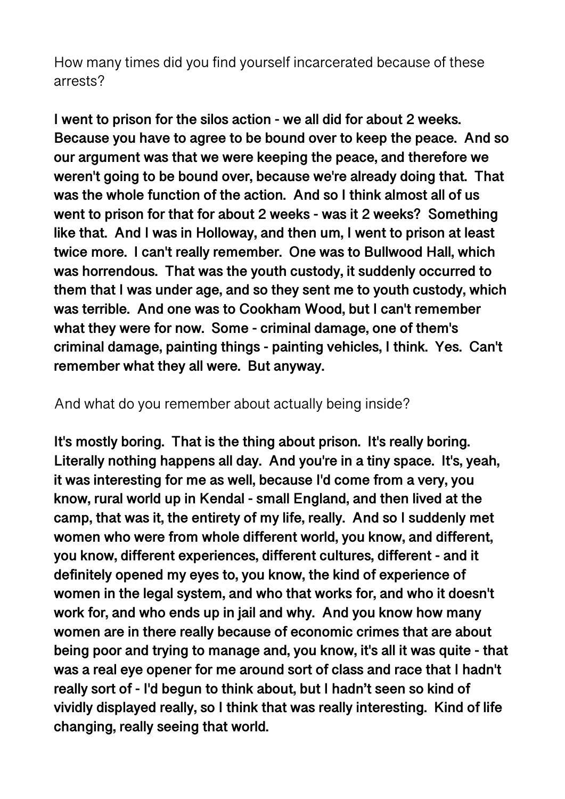How many times did you find yourself incarcerated because of these arrests?

**I went to prison for the silos action - we all did for about 2 weeks. Because you have to agree to be bound over to keep the peace. And so our argument was that we were keeping the peace, and therefore we weren't going to be bound over, because we're already doing that. That was the whole function of the action. And so I think almost all of us went to prison for that for about 2 weeks - was it 2 weeks? Something like that. And I was in Holloway, and then um, I went to prison at least twice more. I can't really remember. One was to Bullwood Hall, which was horrendous. That was the youth custody, it suddenly occurred to them that I was under age, and so they sent me to youth custody, which was terrible. And one was to Cookham Wood, but I can't remember what they were for now. Some - criminal damage, one of them's criminal damage, painting things - painting vehicles, I think. Yes. Can't remember what they all were. But anyway.** 

And what do you remember about actually being inside?

**It's mostly boring. That is the thing about prison. It's really boring. Literally nothing happens all day. And you're in a tiny space. It's, yeah, it was interesting for me as well, because I'd come from a very, you know, rural world up in Kendal - small England, and then lived at the camp, that was it, the entirety of my life, really. And so I suddenly met women who were from whole different world, you know, and different, you know, different experiences, different cultures, different - and it definitely opened my eyes to, you know, the kind of experience of women in the legal system, and who that works for, and who it doesn't work for, and who ends up in jail and why. And you know how many women are in there really because of economic crimes that are about being poor and trying to manage and, you know, it's all it was quite - that was a real eye opener for me around sort of class and race that I hadn't really sort of - I'd begun to think about, but I hadn't seen so kind of vividly displayed really, so I think that was really interesting. Kind of life changing, really seeing that world.**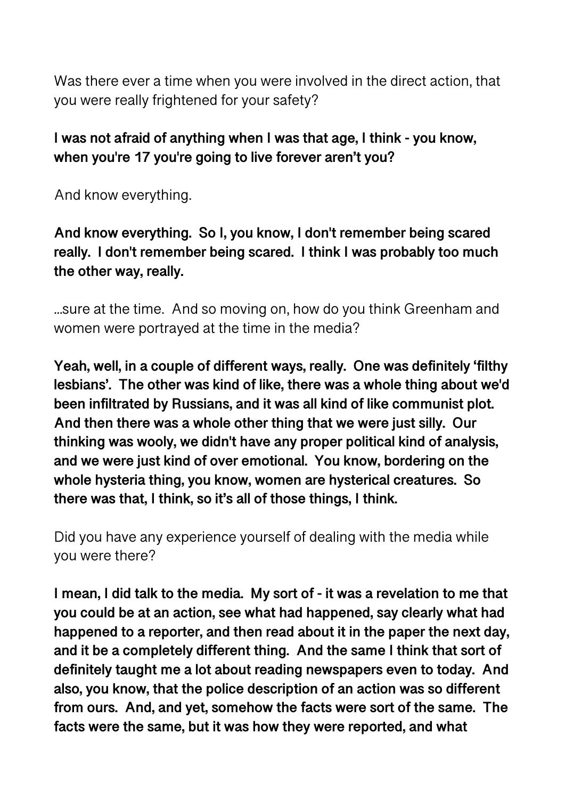Was there ever a time when you were involved in the direct action, that you were really frightened for your safety?

# **I was not afraid of anything when I was that age, I think - you know, when you're 17 you're going to live forever aren't you?**

And know everything.

**And know everything. So I, you know, I don't remember being scared really. I don't remember being scared. I think I was probably too much the other way, really.** 

...sure at the time. And so moving on, how do you think Greenham and women were portrayed at the time in the media?

**Yeah, well, in a couple of different ways, really. One was definitely 'filthy lesbians'. The other was kind of like, there was a whole thing about we'd been infiltrated by Russians, and it was all kind of like communist plot. And then there was a whole other thing that we were just silly. Our thinking was wooly, we didn't have any proper political kind of analysis, and we were just kind of over emotional. You know, bordering on the whole hysteria thing, you know, women are hysterical creatures. So there was that, I think, so it's all of those things, I think.** 

Did you have any experience yourself of dealing with the media while you were there?

**I mean, I did talk to the media. My sort of - it was a revelation to me that you could be at an action, see what had happened, say clearly what had happened to a reporter, and then read about it in the paper the next day, and it be a completely different thing. And the same I think that sort of definitely taught me a lot about reading newspapers even to today. And also, you know, that the police description of an action was so different from ours. And, and yet, somehow the facts were sort of the same. The facts were the same, but it was how they were reported, and what**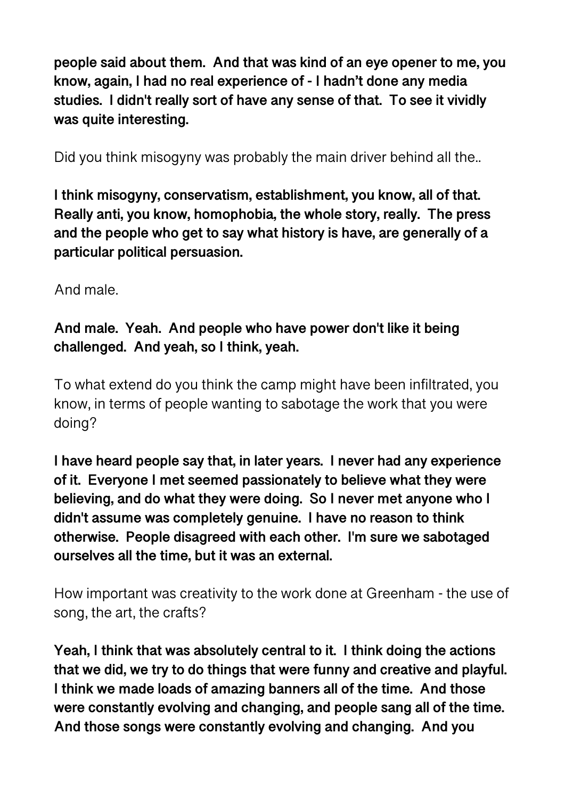**people said about them. And that was kind of an eye opener to me, you know, again, I had no real experience of - I hadn't done any media studies. I didn't really sort of have any sense of that. To see it vividly was quite interesting.** 

Did you think misogyny was probably the main driver behind all the..

**I think misogyny, conservatism, establishment, you know, all of that. Really anti, you know, homophobia, the whole story, really. The press and the people who get to say what history is have, are generally of a particular political persuasion.** 

And male.

# **And male. Yeah. And people who have power don't like it being challenged. And yeah, so I think, yeah.**

To what extend do you think the camp might have been infiltrated, you know, in terms of people wanting to sabotage the work that you were doing?

**I have heard people say that, in later years. I never had any experience of it. Everyone I met seemed passionately to believe what they were believing, and do what they were doing. So I never met anyone who I didn't assume was completely genuine. I have no reason to think otherwise. People disagreed with each other. I'm sure we sabotaged ourselves all the time, but it was an external.** 

How important was creativity to the work done at Greenham - the use of song, the art, the crafts?

**Yeah, I think that was absolutely central to it. I think doing the actions that we did, we try to do things that were funny and creative and playful. I think we made loads of amazing banners all of the time. And those were constantly evolving and changing, and people sang all of the time. And those songs were constantly evolving and changing. And you**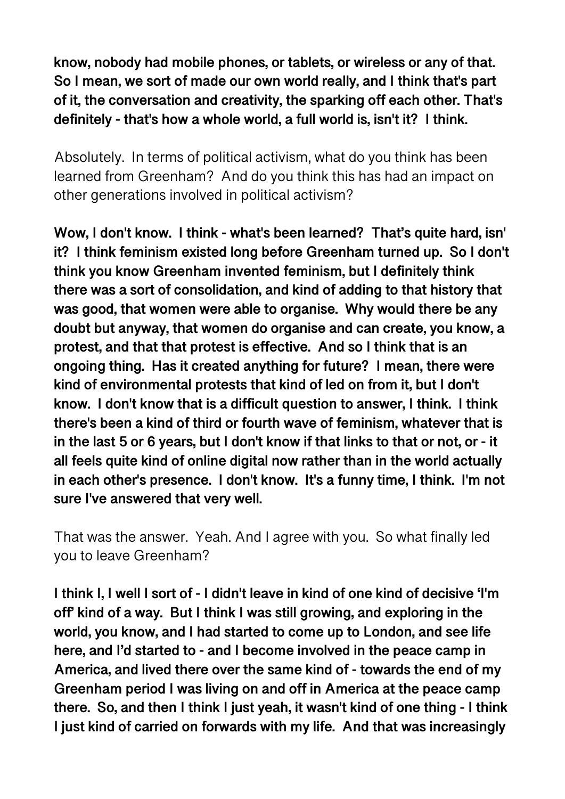**know, nobody had mobile phones, or tablets, or wireless or any of that. So I mean, we sort of made our own world really, and I think that's part of it, the conversation and creativity, the sparking off each other. That's definitely - that's how a whole world, a full world is, isn't it? I think.** 

Absolutely. In terms of political activism, what do you think has been learned from Greenham? And do you think this has had an impact on other generations involved in political activism?

**Wow, I don't know. I think - what's been learned? That's quite hard, isn' it? I think feminism existed long before Greenham turned up. So I don't think you know Greenham invented feminism, but I definitely think there was a sort of consolidation, and kind of adding to that history that was good, that women were able to organise. Why would there be any doubt but anyway, that women do organise and can create, you know, a protest, and that that protest is effective. And so I think that is an ongoing thing. Has it created anything for future? I mean, there were kind of environmental protests that kind of led on from it, but I don't know. I don't know that is a difficult question to answer, I think. I think there's been a kind of third or fourth wave of feminism, whatever that is in the last 5 or 6 years, but I don't know if that links to that or not, or - it all feels quite kind of online digital now rather than in the world actually in each other's presence. I don't know. It's a funny time, I think. I'm not sure I've answered that very well.** 

That was the answer. Yeah. And I agree with you. So what finally led you to leave Greenham?

**I think I, I well I sort of - I didn't leave in kind of one kind of decisive 'I'm off' kind of a way. But I think I was still growing, and exploring in the world, you know, and I had started to come up to London, and see life here, and I'd started to - and I become involved in the peace camp in America, and lived there over the same kind of - towards the end of my Greenham period I was living on and off in America at the peace camp there. So, and then I think I just yeah, it wasn't kind of one thing - I think I just kind of carried on forwards with my life. And that was increasingly**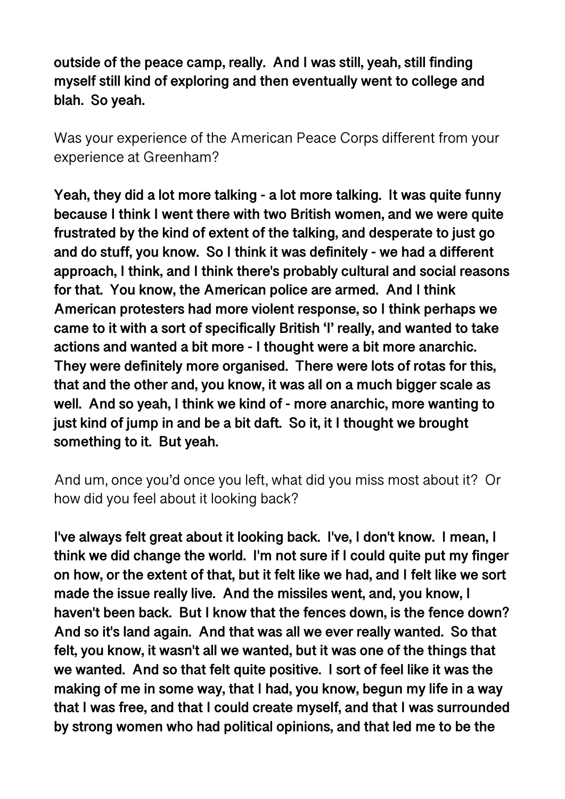**outside of the peace camp, really. And I was still, yeah, still finding myself still kind of exploring and then eventually went to college and blah. So yeah.** 

Was your experience of the American Peace Corps different from your experience at Greenham?

**Yeah, they did a lot more talking - a lot more talking. It was quite funny because I think I went there with two British women, and we were quite frustrated by the kind of extent of the talking, and desperate to just go and do stuff, you know. So I think it was definitely - we had a different approach, I think, and I think there's probably cultural and social reasons for that. You know, the American police are armed. And I think American protesters had more violent response, so I think perhaps we came to it with a sort of specifically British 'I' really, and wanted to take actions and wanted a bit more - I thought were a bit more anarchic. They were definitely more organised. There were lots of rotas for this, that and the other and, you know, it was all on a much bigger scale as well. And so yeah, I think we kind of - more anarchic, more wanting to just kind of jump in and be a bit daft. So it, it I thought we brought something to it. But yeah.** 

And um, once you'd once you left, what did you miss most about it? Or how did you feel about it looking back?

**I've always felt great about it looking back. I've, I don't know. I mean, I think we did change the world. I'm not sure if I could quite put my finger on how, or the extent of that, but it felt like we had, and I felt like we sort made the issue really live. And the missiles went, and, you know, I haven't been back. But I know that the fences down, is the fence down? And so it's land again. And that was all we ever really wanted. So that felt, you know, it wasn't all we wanted, but it was one of the things that we wanted. And so that felt quite positive. I sort of feel like it was the making of me in some way, that I had, you know, begun my life in a way that I was free, and that I could create myself, and that I was surrounded by strong women who had political opinions, and that led me to be the**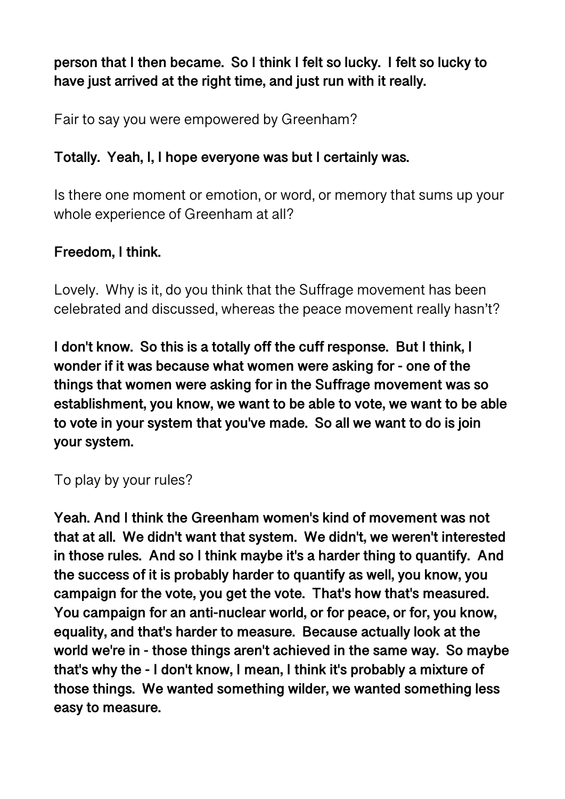# **person that I then became. So I think I felt so lucky. I felt so lucky to have just arrived at the right time, and just run with it really.**

Fair to say you were empowered by Greenham?

## **Totally. Yeah, I, I hope everyone was but I certainly was.**

Is there one moment or emotion, or word, or memory that sums up your whole experience of Greenham at all?

## **Freedom, I think.**

Lovely. Why is it, do you think that the Suffrage movement has been celebrated and discussed, whereas the peace movement really hasn't?

**I don't know. So this is a totally off the cuff response. But I think, I wonder if it was because what women were asking for - one of the things that women were asking for in the Suffrage movement was so establishment, you know, we want to be able to vote, we want to be able to vote in your system that you've made. So all we want to do is join your system.** 

## To play by your rules?

**Yeah. And I think the Greenham women's kind of movement was not that at all. We didn't want that system. We didn't, we weren't interested in those rules. And so I think maybe it's a harder thing to quantify. And the success of it is probably harder to quantify as well, you know, you campaign for the vote, you get the vote. That's how that's measured. You campaign for an anti-nuclear world, or for peace, or for, you know, equality, and that's harder to measure. Because actually look at the world we're in - those things aren't achieved in the same way. So maybe that's why the - I don't know, I mean, I think it's probably a mixture of those things. We wanted something wilder, we wanted something less easy to measure.**